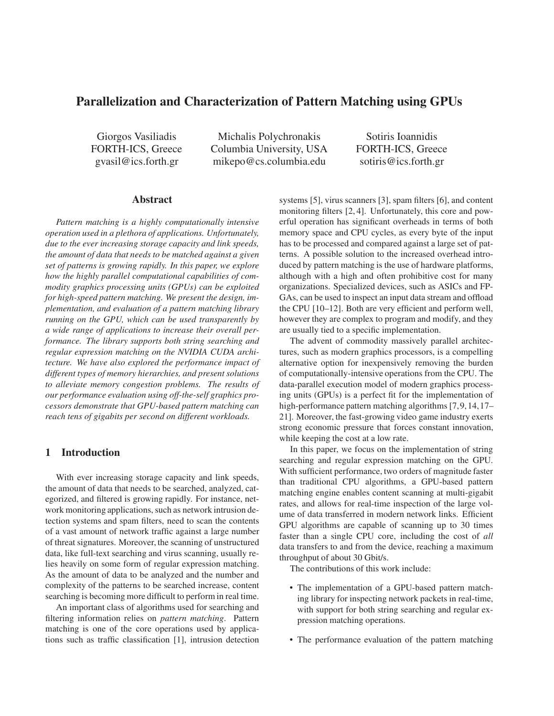# **Parallelization and Characterization of Pattern Matching using GPUs**

Giorgos Vasiliadis FORTH-ICS, Greece gvasil@ics.forth.gr

Michalis Polychronakis Columbia University, USA mikepo@cs.columbia.edu

Sotiris Ioannidis FORTH-ICS, Greece sotiris@ics.forth.gr

#### **Abstract**

*Pattern matching is a highly computationally intensive operation used in a plethora of applications. Unfortunately, due to the ever increasing storage capacity and link speeds, the amount of data that needs to be matched against a given set of patterns is growing rapidly. In this paper, we explore how the highly parallel computational capabilities of commodity graphics processing units (GPUs) can be exploited for high-speed pattern matching. We present the design, implementation, and evaluation of a pattern matching library running on the GPU, which can be used transparently by a wide range of applications to increase their overall performance. The library supports both string searching and regular expression matching on the NVIDIA CUDA architecture. We have also explored the performance impact of different types of memory hierarchies, and present solutions to alleviate memory congestion problems. The results of our performance evaluation using off-the-self graphics processors demonstrate that GPU-based pattern matching can reach tens of gigabits per second on different workloads.*

### **1 Introduction**

With ever increasing storage capacity and link speeds, the amount of data that needs to be searched, analyzed, categorized, and filtered is growing rapidly. For instance, network monitoring applications, such as network intrusion detection systems and spam filters, need to scan the contents of a vast amount of network traffic against a large number of threat signatures. Moreover, the scanning of unstructured data, like full-text searching and virus scanning, usually relies heavily on some form of regular expression matching. As the amount of data to be analyzed and the number and complexity of the patterns to be searched increase, content searching is becoming more difficult to perform in real time.

An important class of algorithms used for searching and filtering information relies on *pattern matching*. Pattern matching is one of the core operations used by applications such as traffic classification [1], intrusion detection systems [5], virus scanners [3], spam filters [6], and content monitoring filters [2, 4]. Unfortunately, this core and powerful operation has significant overheads in terms of both memory space and CPU cycles, as every byte of the input has to be processed and compared against a large set of patterns. A possible solution to the increased overhead introduced by pattern matching is the use of hardware platforms, although with a high and often prohibitive cost for many organizations. Specialized devices, such as ASICs and FP-GAs, can be used to inspect an input data stream and offload the CPU [10–12]. Both are very efficient and perform well, however they are complex to program and modify, and they are usually tied to a specific implementation.

The advent of commodity massively parallel architectures, such as modern graphics processors, is a compelling alternative option for inexpensively removing the burden of computationally-intensive operations from the CPU. The data-parallel execution model of modern graphics processing units (GPUs) is a perfect fit for the implementation of high-performance pattern matching algorithms [7, 9, 14, 17– 21]. Moreover, the fast-growing video game industry exerts strong economic pressure that forces constant innovation, while keeping the cost at a low rate.

In this paper, we focus on the implementation of string searching and regular expression matching on the GPU. With sufficient performance, two orders of magnitude faster than traditional CPU algorithms, a GPU-based pattern matching engine enables content scanning at multi-gigabit rates, and allows for real-time inspection of the large volume of data transferred in modern network links. Efficient GPU algorithms are capable of scanning up to 30 times faster than a single CPU core, including the cost of *all* data transfers to and from the device, reaching a maximum throughput of about 30 Gbit/s.

The contributions of this work include:

- The implementation of a GPU-based pattern matching library for inspecting network packets in real-time, with support for both string searching and regular expression matching operations.
- The performance evaluation of the pattern matching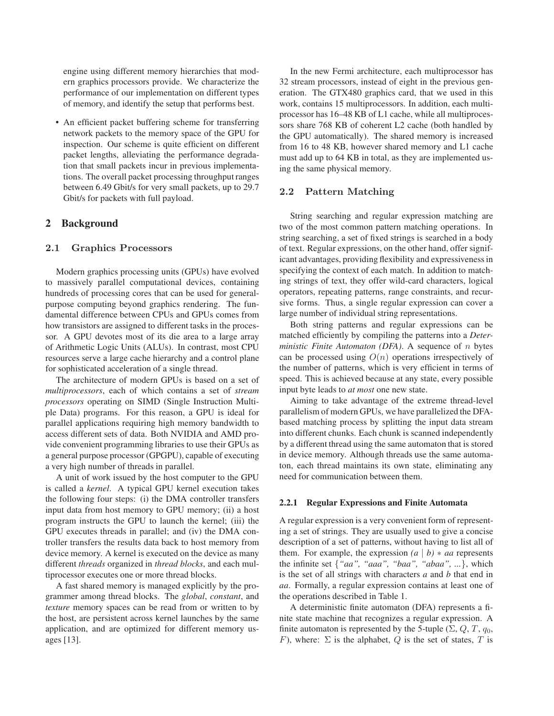engine using different memory hierarchies that modern graphics processors provide. We characterize the performance of our implementation on different types of memory, and identify the setup that performs best.

• An efficient packet buffering scheme for transferring network packets to the memory space of the GPU for inspection. Our scheme is quite efficient on different packet lengths, alleviating the performance degradation that small packets incur in previous implementations. The overall packet processing throughput ranges between 6.49 Gbit/s for very small packets, up to 29.7 Gbit/s for packets with full payload.

### **2 Background**

### 2.1 Graphics Processors

Modern graphics processing units (GPUs) have evolved to massively parallel computational devices, containing hundreds of processing cores that can be used for generalpurpose computing beyond graphics rendering. The fundamental difference between CPUs and GPUs comes from how transistors are assigned to different tasks in the processor. A GPU devotes most of its die area to a large array of Arithmetic Logic Units (ALUs). In contrast, most CPU resources serve a large cache hierarchy and a control plane for sophisticated acceleration of a single thread.

The architecture of modern GPUs is based on a set of *multiprocessors*, each of which contains a set of *stream processors* operating on SIMD (Single Instruction Multiple Data) programs. For this reason, a GPU is ideal for parallel applications requiring high memory bandwidth to access different sets of data. Both NVIDIA and AMD provide convenient programming libraries to use their GPUs as a general purpose processor (GPGPU), capable of executing a very high number of threads in parallel.

A unit of work issued by the host computer to the GPU is called a *kernel*. A typical GPU kernel execution takes the following four steps: (i) the DMA controller transfers input data from host memory to GPU memory; (ii) a host program instructs the GPU to launch the kernel; (iii) the GPU executes threads in parallel; and (iv) the DMA controller transfers the results data back to host memory from device memory. A kernel is executed on the device as many different *threads* organized in *thread blocks*, and each multiprocessor executes one or more thread blocks.

A fast shared memory is managed explicitly by the programmer among thread blocks. The *global*, *constant*, and *texture* memory spaces can be read from or written to by the host, are persistent across kernel launches by the same application, and are optimized for different memory usages [13].

In the new Fermi architecture, each multiprocessor has 32 stream processors, instead of eight in the previous generation. The GTX480 graphics card, that we used in this work, contains 15 multiprocessors. In addition, each multiprocessor has 16–48 KB of L1 cache, while all multiprocessors share 768 KB of coherent L2 cache (both handled by the GPU automatically). The shared memory is increased from 16 to 48 KB, however shared memory and L1 cache must add up to 64 KB in total, as they are implemented using the same physical memory.

#### 2.2 Pattern Matching

String searching and regular expression matching are two of the most common pattern matching operations. In string searching, a set of fixed strings is searched in a body of text. Regular expressions, on the other hand, offer significant advantages, providing flexibility and expressiveness in specifying the context of each match. In addition to matching strings of text, they offer wild-card characters, logical operators, repeating patterns, range constraints, and recursive forms. Thus, a single regular expression can cover a large number of individual string representations.

Both string patterns and regular expressions can be matched efficiently by compiling the patterns into a *Deterministic Finite Automaton (DFA)*. A sequence of n bytes can be processed using  $O(n)$  operations irrespectively of the number of patterns, which is very efficient in terms of speed. This is achieved because at any state, every possible input byte leads to *at most* one new state.

Aiming to take advantage of the extreme thread-level parallelism of modern GPUs, we have parallelized the DFAbased matching process by splitting the input data stream into different chunks. Each chunk is scanned independently by a different thread using the same automaton that is stored in device memory. Although threads use the same automaton, each thread maintains its own state, eliminating any need for communication between them.

#### **2.2.1 Regular Expressions and Finite Automata**

A regular expression is a very convenient form of representing a set of strings. They are usually used to give a concise description of a set of patterns, without having to list all of them. For example, the expression  $(a | b) * aa$  represents the infinite set  $\{$  "*aa"*, "*aaa"*, "*baa"*, "*abaa"*, ...}, which is the set of all strings with characters *a* and *b* that end in *aa*. Formally, a regular expression contains at least one of the operations described in Table 1.

A deterministic finite automaton (DFA) represents a finite state machine that recognizes a regular expression. A finite automaton is represented by the 5-tuple ( $\Sigma$ ,  $Q$ ,  $T$ ,  $q_0$ , F), where:  $\Sigma$  is the alphabet,  $Q$  is the set of states,  $T$  is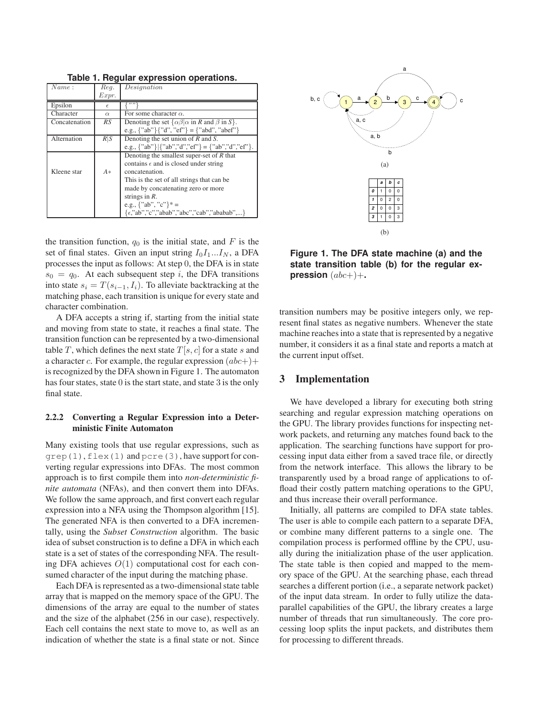| Name:         | Reg.       | Designation                                                                                 |  |  |  |  |  |
|---------------|------------|---------------------------------------------------------------------------------------------|--|--|--|--|--|
|               | Expr.      |                                                                                             |  |  |  |  |  |
| Epsilon       | $\epsilon$ | ,, ,,                                                                                       |  |  |  |  |  |
| Character     | $\alpha$   | For some character $\alpha$ .                                                               |  |  |  |  |  |
| Concatenation | <b>RS</b>  | Denoting the set $\{\alpha\beta   \alpha \text{ in } R \text{ and } \beta \text{ in } S\}.$ |  |  |  |  |  |
|               |            | e.g., {"ab"}{"d", "ef"} = {"abd", "abef"}                                                   |  |  |  |  |  |
| Alternation   | R S        | Denoting the set union of $R$ and $S$ .                                                     |  |  |  |  |  |
|               |            | e.g., {"ab"} {"ab","d","ef"} = {"ab","d","ef"}.                                             |  |  |  |  |  |
|               |            | Denoting the smallest super-set of $R$ that                                                 |  |  |  |  |  |
|               |            | contains $\epsilon$ and is closed under string                                              |  |  |  |  |  |
| Kleene star   | $A*$       | concatenation.                                                                              |  |  |  |  |  |
|               |            | This is the set of all strings that can be.                                                 |  |  |  |  |  |
|               |            | made by concatenating zero or more                                                          |  |  |  |  |  |
|               |            | strings in $R$ .                                                                            |  |  |  |  |  |
|               |            | e.g., $\{$ "ab", "c" $\}$ * =                                                               |  |  |  |  |  |
|               |            | $\{\epsilon$ ,"ab","c","abab","abc","cab","ababab",}                                        |  |  |  |  |  |

**Table 1. Regular expression operations.**

the transition function,  $q_0$  is the initial state, and F is the set of final states. Given an input string  $I_0I_1...I_N$ , a DFA processes the input as follows: At step 0, the DFA is in state  $s_0 = q_0$ . At each subsequent step i, the DFA transitions into state  $s_i = T(s_{i-1}, I_i)$ . To alleviate backtracking at the matching phase, each transition is unique for every state and character combination.

A DFA accepts a string if, starting from the initial state and moving from state to state, it reaches a final state. The transition function can be represented by a two-dimensional table T, which defines the next state  $T[s, c]$  for a state s and a character c. For example, the regular expression  $(abc+)$  + is recognized by the DFA shown in Figure 1. The automaton has four states, state 0 is the start state, and state 3 is the only final state.

#### **2.2.2 Converting a Regular Expression into a Deterministic Finite Automaton**

Many existing tools that use regular expressions, such as grep(1), flex(1) and pcre(3), have support for converting regular expressions into DFAs. The most common approach is to first compile them into *non-deterministic finite automata* (NFAs), and then convert them into DFAs. We follow the same approach, and first convert each regular expression into a NFA using the Thompson algorithm [15]. The generated NFA is then converted to a DFA incrementally, using the *Subset Construction* algorithm. The basic idea of subset construction is to define a DFA in which each state is a set of states of the corresponding NFA. The resulting DFA achieves  $O(1)$  computational cost for each consumed character of the input during the matching phase.

Each DFA is represented as a two-dimensional state table array that is mapped on the memory space of the GPU. The dimensions of the array are equal to the number of states and the size of the alphabet (256 in our case), respectively. Each cell contains the next state to move to, as well as an indication of whether the state is a final state or not. Since



**Figure 1. The DFA state machine (a) and the state transition table (b) for the regular expression** (abc+)+**.**

transition numbers may be positive integers only, we represent final states as negative numbers. Whenever the state machine reaches into a state that is represented by a negative number, it considers it as a final state and reports a match at the current input offset.

## **3 Implementation**

We have developed a library for executing both string searching and regular expression matching operations on the GPU. The library provides functions for inspecting network packets, and returning any matches found back to the application. The searching functions have support for processing input data either from a saved trace file, or directly from the network interface. This allows the library to be transparently used by a broad range of applications to offload their costly pattern matching operations to the GPU, and thus increase their overall performance.

Initially, all patterns are compiled to DFA state tables. The user is able to compile each pattern to a separate DFA, or combine many different patterns to a single one. The compilation process is performed offline by the CPU, usually during the initialization phase of the user application. The state table is then copied and mapped to the memory space of the GPU. At the searching phase, each thread searches a different portion (i.e., a separate network packet) of the input data stream. In order to fully utilize the dataparallel capabilities of the GPU, the library creates a large number of threads that run simultaneously. The core processing loop splits the input packets, and distributes them for processing to different threads.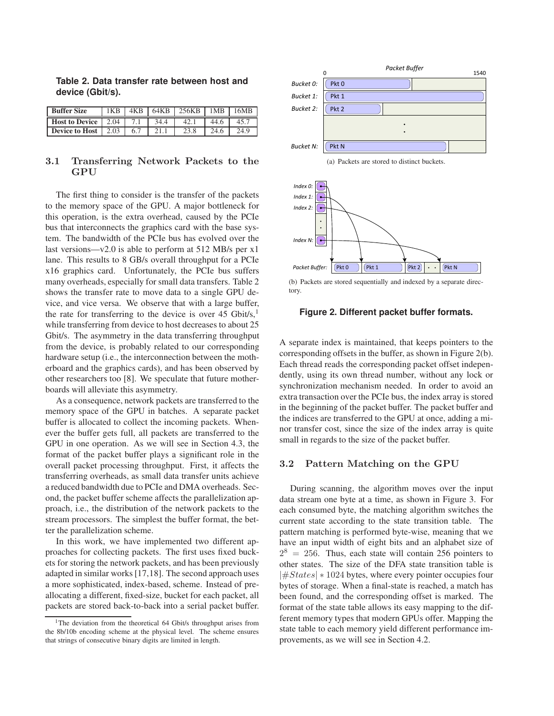| <b>Buffer Size</b>           | 1KB  | 4KB | 64KB | 256KB | 1MB  | 16MB |
|------------------------------|------|-----|------|-------|------|------|
| <b>Host to Device</b>   2.04 |      |     | 34.4 |       | 44.6 |      |
| Device to Host               | 2.03 | 6.7 |      |       | 24.6 | 24.9 |

#### **Table 2. Data transfer rate between host and device (Gbit/s).**

#### 3.1 Transferring Network Packets to the GPU

The first thing to consider is the transfer of the packets to the memory space of the GPU. A major bottleneck for this operation, is the extra overhead, caused by the PCIe bus that interconnects the graphics card with the base system. The bandwidth of the PCIe bus has evolved over the last versions—v2.0 is able to perform at 512 MB/s per x1 lane. This results to 8 GB/s overall throughput for a PCIe x16 graphics card. Unfortunately, the PCIe bus suffers many overheads, especially for small data transfers. Table 2 shows the transfer rate to move data to a single GPU device, and vice versa. We observe that with a large buffer, the rate for transferring to the device is over  $45$  Gbit/s,<sup>1</sup> while transferring from device to host decreases to about 25 Gbit/s. The asymmetry in the data transferring throughput from the device, is probably related to our corresponding hardware setup (i.e., the interconnection between the motherboard and the graphics cards), and has been observed by other researchers too [8]. We speculate that future motherboards will alleviate this asymmetry.

As a consequence, network packets are transferred to the memory space of the GPU in batches. A separate packet buffer is allocated to collect the incoming packets. Whenever the buffer gets full, all packets are transferred to the GPU in one operation. As we will see in Section 4.3, the format of the packet buffer plays a significant role in the overall packet processing throughput. First, it affects the transferring overheads, as small data transfer units achieve a reduced bandwidth due to PCIe and DMA overheads. Second, the packet buffer scheme affects the parallelization approach, i.e., the distribution of the network packets to the stream processors. The simplest the buffer format, the better the parallelization scheme.

In this work, we have implemented two different approaches for collecting packets. The first uses fixed buckets for storing the network packets, and has been previously adapted in similar works [17,18]. The second approach uses a more sophisticated, index-based, scheme. Instead of preallocating a different, fixed-size, bucket for each packet, all packets are stored back-to-back into a serial packet buffer.



(b) Packets are stored sequentially and indexed by a separate directory.

#### **Figure 2. Different packet buffer formats.**

A separate index is maintained, that keeps pointers to the corresponding offsets in the buffer, as shown in Figure 2(b). Each thread reads the corresponding packet offset independently, using its own thread number, without any lock or synchronization mechanism needed. In order to avoid an extra transaction over the PCIe bus, the index array is stored in the beginning of the packet buffer. The packet buffer and the indices are transferred to the GPU at once, adding a minor transfer cost, since the size of the index array is quite small in regards to the size of the packet buffer.

#### 3.2 Pattern Matching on the GPU

During scanning, the algorithm moves over the input data stream one byte at a time, as shown in Figure 3. For each consumed byte, the matching algorithm switches the current state according to the state transition table. The pattern matching is performed byte-wise, meaning that we have an input width of eight bits and an alphabet size of  $2^8 = 256$ . Thus, each state will contain 256 pointers to other states. The size of the DFA state transition table is  $|\#States| * 1024$  bytes, where every pointer occupies four bytes of storage. When a final-state is reached, a match has been found, and the corresponding offset is marked. The format of the state table allows its easy mapping to the different memory types that modern GPUs offer. Mapping the state table to each memory yield different performance improvements, as we will see in Section 4.2.

<sup>&</sup>lt;sup>1</sup>The deviation from the theoretical 64 Gbit/s throughput arises from the 8b/10b encoding scheme at the physical level. The scheme ensures that strings of consecutive binary digits are limited in length.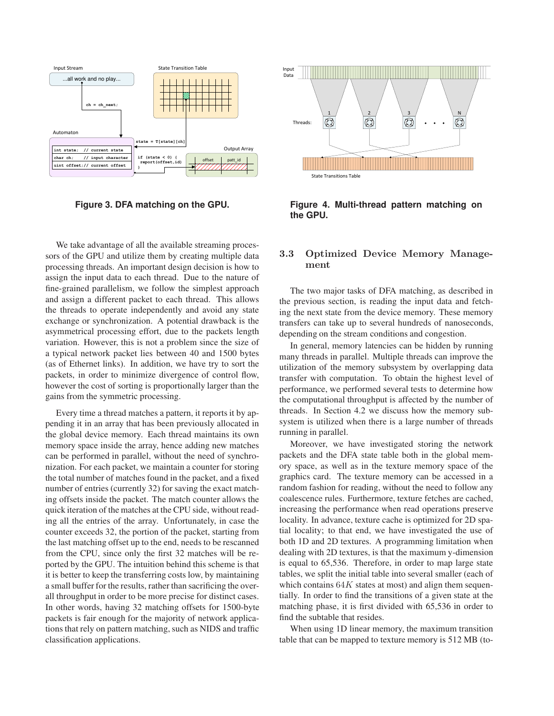

**Figure 3. DFA matching on the GPU.**

We take advantage of all the available streaming processors of the GPU and utilize them by creating multiple data processing threads. An important design decision is how to assign the input data to each thread. Due to the nature of fine-grained parallelism, we follow the simplest approach and assign a different packet to each thread. This allows the threads to operate independently and avoid any state exchange or synchronization. A potential drawback is the asymmetrical processing effort, due to the packets length variation. However, this is not a problem since the size of a typical network packet lies between 40 and 1500 bytes (as of Ethernet links). In addition, we have try to sort the packets, in order to minimize divergence of control flow, however the cost of sorting is proportionally larger than the gains from the symmetric processing.

Every time a thread matches a pattern, it reports it by appending it in an array that has been previously allocated in the global device memory. Each thread maintains its own memory space inside the array, hence adding new matches can be performed in parallel, without the need of synchronization. For each packet, we maintain a counter for storing the total number of matches found in the packet, and a fixed number of entries (currently 32) for saving the exact matching offsets inside the packet. The match counter allows the quick iteration of the matches at the CPU side, without reading all the entries of the array. Unfortunately, in case the counter exceeds 32, the portion of the packet, starting from the last matching offset up to the end, needs to be rescanned from the CPU, since only the first 32 matches will be reported by the GPU. The intuition behind this scheme is that it is better to keep the transferring costs low, by maintaining a small buffer for the results, rather than sacrificing the overall throughput in order to be more precise for distinct cases. In other words, having 32 matching offsets for 1500-byte packets is fair enough for the majority of network applications that rely on pattern matching, such as NIDS and traffic classification applications.



**Figure 4. Multi-thread pattern matching on the GPU.**

### 3.3 Optimized Device Memory Management

The two major tasks of DFA matching, as described in the previous section, is reading the input data and fetching the next state from the device memory. These memory transfers can take up to several hundreds of nanoseconds, depending on the stream conditions and congestion.

In general, memory latencies can be hidden by running many threads in parallel. Multiple threads can improve the utilization of the memory subsystem by overlapping data transfer with computation. To obtain the highest level of performance, we performed several tests to determine how the computational throughput is affected by the number of threads. In Section 4.2 we discuss how the memory subsystem is utilized when there is a large number of threads running in parallel.

Moreover, we have investigated storing the network packets and the DFA state table both in the global memory space, as well as in the texture memory space of the graphics card. The texture memory can be accessed in a random fashion for reading, without the need to follow any coalescence rules. Furthermore, texture fetches are cached, increasing the performance when read operations preserve locality. In advance, texture cache is optimized for 2D spatial locality; to that end, we have investigated the use of both 1D and 2D textures. A programming limitation when dealing with 2D textures, is that the maximum y-dimension is equal to 65,536. Therefore, in order to map large state tables, we split the initial table into several smaller (each of which contains  $64K$  states at most) and align them sequentially. In order to find the transitions of a given state at the matching phase, it is first divided with 65,536 in order to find the subtable that resides.

When using 1D linear memory, the maximum transition table that can be mapped to texture memory is 512 MB (to-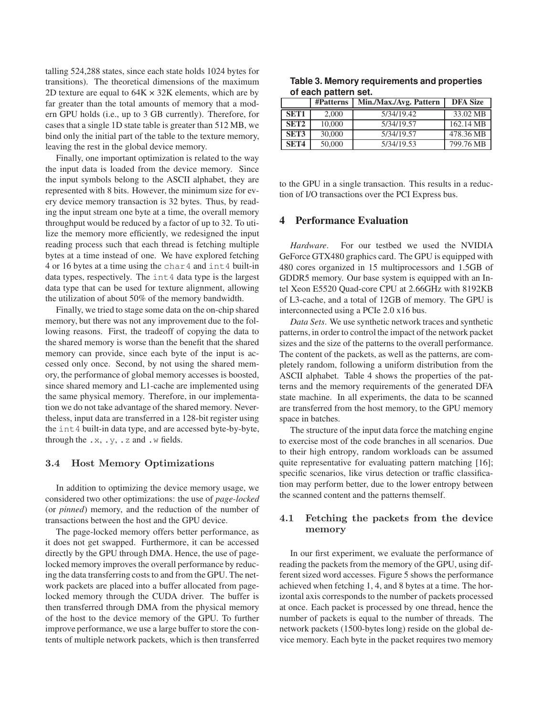talling 524,288 states, since each state holds 1024 bytes for transitions). The theoretical dimensions of the maximum 2D texture are equal to  $64K \times 32K$  elements, which are by far greater than the total amounts of memory that a modern GPU holds (i.e., up to 3 GB currently). Therefore, for cases that a single 1D state table is greater than 512 MB, we bind only the initial part of the table to the texture memory, leaving the rest in the global device memory.

Finally, one important optimization is related to the way the input data is loaded from the device memory. Since the input symbols belong to the ASCII alphabet, they are represented with 8 bits. However, the minimum size for every device memory transaction is 32 bytes. Thus, by reading the input stream one byte at a time, the overall memory throughput would be reduced by a factor of up to 32. To utilize the memory more efficiently, we redesigned the input reading process such that each thread is fetching multiple bytes at a time instead of one. We have explored fetching 4 or 16 bytes at a time using the char4 and int4 built-in data types, respectively. The int4 data type is the largest data type that can be used for texture alignment, allowing the utilization of about 50% of the memory bandwidth.

Finally, we tried to stage some data on the on-chip shared memory, but there was not any improvement due to the following reasons. First, the tradeoff of copying the data to the shared memory is worse than the benefit that the shared memory can provide, since each byte of the input is accessed only once. Second, by not using the shared memory, the performance of global memory accesses is boosted, since shared memory and L1-cache are implemented using the same physical memory. Therefore, in our implementation we do not take advantage of the shared memory. Nevertheless, input data are transferred in a 128-bit register using the int4 built-in data type, and are accessed byte-by-byte, through the  $.x, .y, .z$  and  $.w$  fields.

### 3.4 Host Memory Optimizations

In addition to optimizing the device memory usage, we considered two other optimizations: the use of *page-locked* (or *pinned*) memory, and the reduction of the number of transactions between the host and the GPU device.

The page-locked memory offers better performance, as it does not get swapped. Furthermore, it can be accessed directly by the GPU through DMA. Hence, the use of pagelocked memory improves the overall performance by reducing the data transferring costs to and from the GPU. The network packets are placed into a buffer allocated from pagelocked memory through the CUDA driver. The buffer is then transferred through DMA from the physical memory of the host to the device memory of the GPU. To further improve performance, we use a large buffer to store the contents of multiple network packets, which is then transferred

| Table 3. Memory requirements and properties |  |
|---------------------------------------------|--|
| of each pattern set.                        |  |

|                  | <b>#Patterns</b> | Min./Max./Avg. Pattern | <b>DFA Size</b> |
|------------------|------------------|------------------------|-----------------|
| SET <sub>1</sub> | 2,000            | 5/34/19.42             | 33.02 MB        |
| SET <sub>2</sub> | 10,000           | 5/34/19.57             | 162.14 MB       |
| SET3             | 30,000           | 5/34/19.57             | 478.36 MB       |
| SET4             | 50,000           | 5/34/19.53             | 799.76 MB       |

to the GPU in a single transaction. This results in a reduction of I/O transactions over the PCI Express bus.

#### **4 Performance Evaluation**

*Hardware*. For our testbed we used the NVIDIA GeForce GTX480 graphics card. The GPU is equipped with 480 cores organized in 15 multiprocessors and 1.5GB of GDDR5 memory. Our base system is equipped with an Intel Xeon E5520 Quad-core CPU at 2.66GHz with 8192KB of L3-cache, and a total of 12GB of memory. The GPU is interconnected using a PCIe 2.0 x16 bus.

*Data Sets*. We use synthetic network traces and synthetic patterns, in order to control the impact of the network packet sizes and the size of the patterns to the overall performance. The content of the packets, as well as the patterns, are completely random, following a uniform distribution from the ASCII alphabet. Table 4 shows the properties of the patterns and the memory requirements of the generated DFA state machine. In all experiments, the data to be scanned are transferred from the host memory, to the GPU memory space in batches.

The structure of the input data force the matching engine to exercise most of the code branches in all scenarios. Due to their high entropy, random workloads can be assumed quite representative for evaluating pattern matching [16]; specific scenarios, like virus detection or traffic classification may perform better, due to the lower entropy between the scanned content and the patterns themself.

### 4.1 Fetching the packets from the device memory

In our first experiment, we evaluate the performance of reading the packets from the memory of the GPU, using different sized word accesses. Figure 5 shows the performance achieved when fetching 1, 4, and 8 bytes at a time. The horizontal axis corresponds to the number of packets processed at once. Each packet is processed by one thread, hence the number of packets is equal to the number of threads. The network packets (1500-bytes long) reside on the global device memory. Each byte in the packet requires two memory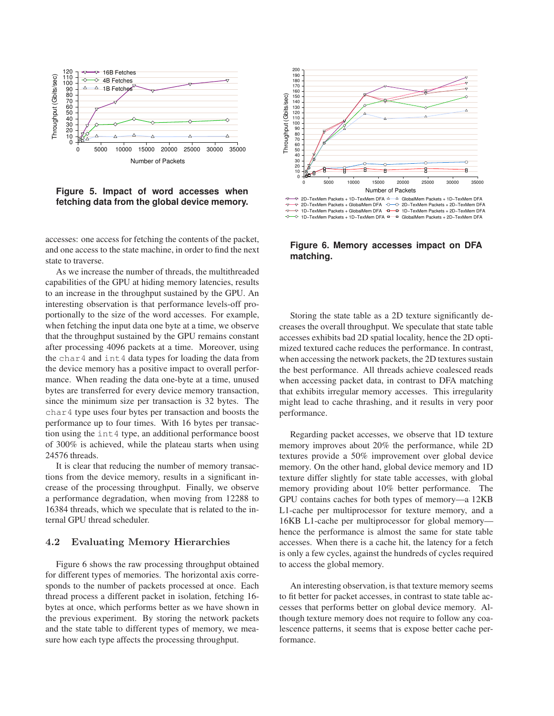

**Figure 5. Impact of word accesses when fetching data from the global device memory.**

accesses: one access for fetching the contents of the packet, and one access to the state machine, in order to find the next state to traverse.

As we increase the number of threads, the multithreaded capabilities of the GPU at hiding memory latencies, results to an increase in the throughput sustained by the GPU. An interesting observation is that performance levels-off proportionally to the size of the word accesses. For example, when fetching the input data one byte at a time, we observe that the throughput sustained by the GPU remains constant after processing 4096 packets at a time. Moreover, using the char4 and int4 data types for loading the data from the device memory has a positive impact to overall performance. When reading the data one-byte at a time, unused bytes are transferred for every device memory transaction, since the minimum size per transaction is 32 bytes. The char4 type uses four bytes per transaction and boosts the performance up to four times. With 16 bytes per transaction using the int4 type, an additional performance boost of 300% is achieved, while the plateau starts when using 24576 threads.

It is clear that reducing the number of memory transactions from the device memory, results in a significant increase of the processing throughput. Finally, we observe a performance degradation, when moving from 12288 to 16384 threads, which we speculate that is related to the internal GPU thread scheduler.

### 4.2 Evaluating Memory Hierarchies

Figure 6 shows the raw processing throughput obtained for different types of memories. The horizontal axis corresponds to the number of packets processed at once. Each thread process a different packet in isolation, fetching 16 bytes at once, which performs better as we have shown in the previous experiment. By storing the network packets and the state table to different types of memory, we measure how each type affects the processing throughput.



**Figure 6. Memory accesses impact on DFA matching.**

Storing the state table as a 2D texture significantly decreases the overall throughput. We speculate that state table accesses exhibits bad 2D spatial locality, hence the 2D optimized textured cache reduces the performance. In contrast, when accessing the network packets, the 2D textures sustain the best performance. All threads achieve coalesced reads when accessing packet data, in contrast to DFA matching that exhibits irregular memory accesses. This irregularity might lead to cache thrashing, and it results in very poor performance.

Regarding packet accesses, we observe that 1D texture memory improves about 20% the performance, while 2D textures provide a 50% improvement over global device memory. On the other hand, global device memory and 1D texture differ slightly for state table accesses, with global memory providing about 10% better performance. The GPU contains caches for both types of memory—a 12KB L1-cache per multiprocessor for texture memory, and a 16KB L1-cache per multiprocessor for global memory hence the performance is almost the same for state table accesses. When there is a cache hit, the latency for a fetch is only a few cycles, against the hundreds of cycles required to access the global memory.

An interesting observation, is that texture memory seems to fit better for packet accesses, in contrast to state table accesses that performs better on global device memory. Although texture memory does not require to follow any coalescence patterns, it seems that is expose better cache performance.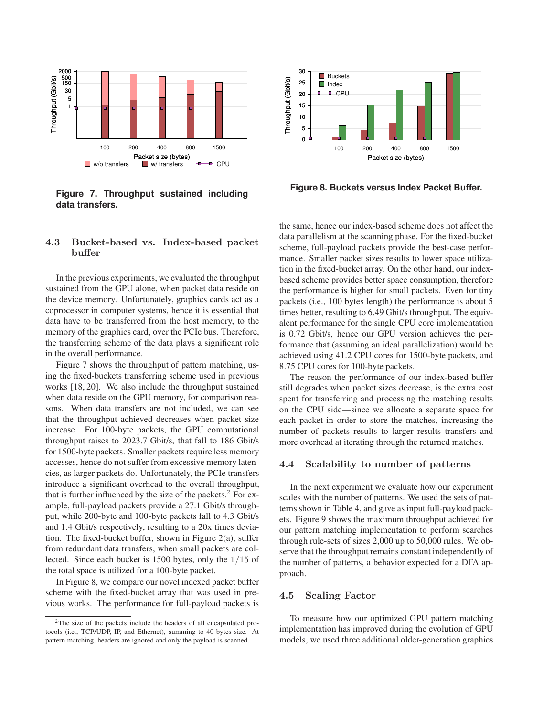

**Figure 7. Throughput sustained including data transfers.**

#### 4.3 Bucket-based vs. Index-based packet buffer

In the previous experiments, we evaluated the throughput sustained from the GPU alone, when packet data reside on the device memory. Unfortunately, graphics cards act as a coprocessor in computer systems, hence it is essential that data have to be transferred from the host memory, to the memory of the graphics card, over the PCIe bus. Therefore, the transferring scheme of the data plays a significant role in the overall performance.

Figure 7 shows the throughput of pattern matching, using the fixed-buckets transferring scheme used in previous works [18, 20]. We also include the throughput sustained when data reside on the GPU memory, for comparison reasons. When data transfers are not included, we can see that the throughput achieved decreases when packet size increase. For 100-byte packets, the GPU computational throughput raises to 2023.7 Gbit/s, that fall to 186 Gbit/s for 1500-byte packets. Smaller packets require less memory accesses, hence do not suffer from excessive memory latencies, as larger packets do. Unfortunately, the PCIe transfers introduce a significant overhead to the overall throughput, that is further influenced by the size of the packets.<sup>2</sup> For example, full-payload packets provide a 27.1 Gbit/s throughput, while 200-byte and 100-byte packets fall to 4.3 Gbit/s and 1.4 Gbit/s respectively, resulting to a 20x times deviation. The fixed-bucket buffer, shown in Figure 2(a), suffer from redundant data transfers, when small packets are collected. Since each bucket is 1500 bytes, only the 1/15 of the total space is utilized for a 100-byte packet.

In Figure 8, we compare our novel indexed packet buffer scheme with the fixed-bucket array that was used in previous works. The performance for full-payload packets is



**Figure 8. Buckets versus Index Packet Buffer.**

the same, hence our index-based scheme does not affect the data parallelism at the scanning phase. For the fixed-bucket scheme, full-payload packets provide the best-case performance. Smaller packet sizes results to lower space utilization in the fixed-bucket array. On the other hand, our indexbased scheme provides better space consumption, therefore the performance is higher for small packets. Even for tiny packets (i.e., 100 bytes length) the performance is about 5 times better, resulting to 6.49 Gbit/s throughput. The equivalent performance for the single CPU core implementation is 0.72 Gbit/s, hence our GPU version achieves the performance that (assuming an ideal parallelization) would be achieved using 41.2 CPU cores for 1500-byte packets, and 8.75 CPU cores for 100-byte packets.

The reason the performance of our index-based buffer still degrades when packet sizes decrease, is the extra cost spent for transferring and processing the matching results on the CPU side—since we allocate a separate space for each packet in order to store the matches, increasing the number of packets results to larger results transfers and more overhead at iterating through the returned matches.

#### 4.4 Scalability to number of patterns

In the next experiment we evaluate how our experiment scales with the number of patterns. We used the sets of patterns shown in Table 4, and gave as input full-payload packets. Figure 9 shows the maximum throughput achieved for our pattern matching implementation to perform searches through rule-sets of sizes 2,000 up to 50,000 rules. We observe that the throughput remains constant independently of the number of patterns, a behavior expected for a DFA approach.

#### 4.5 Scaling Factor

To measure how our optimized GPU pattern matching implementation has improved during the evolution of GPU models, we used three additional older-generation graphics

<sup>2</sup>The size of the packets include the headers of all encapsulated protocols (i.e., TCP/UDP, IP, and Ethernet), summing to 40 bytes size. At pattern matching, headers are ignored and only the payload is scanned.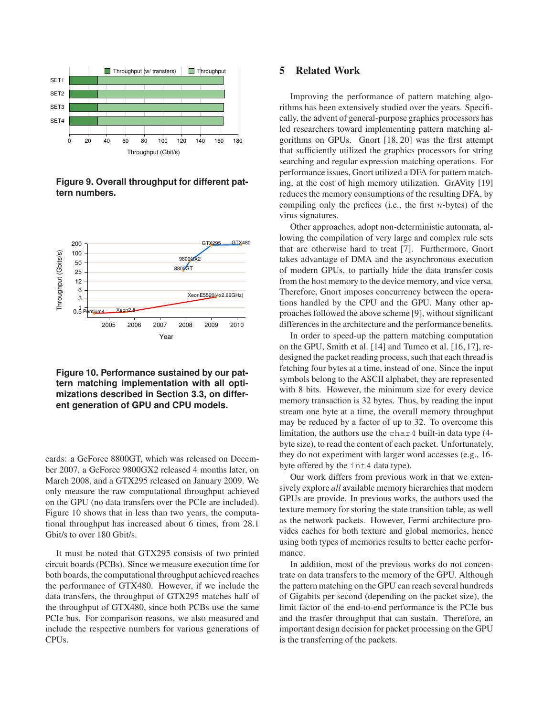

**Figure 9. Overall throughput for different pattern numbers.**



**Figure 10. Performance sustained by our pattern matching implementation with all optimizations described in Section 3.3, on different generation of GPU and CPU models.**

cards: a GeForce 8800GT, which was released on December 2007, a GeForce 9800GX2 released 4 months later, on March 2008, and a GTX295 released on January 2009. We only measure the raw computational throughput achieved on the GPU (no data transfers over the PCIe are included). Figure 10 shows that in less than two years, the computational throughput has increased about 6 times, from 28.1 Gbit/s to over 180 Gbit/s.

It must be noted that GTX295 consists of two printed circuit boards (PCBs). Since we measure execution time for both boards, the computational throughput achieved reaches the performance of GTX480. However, if we include the data transfers, the throughput of GTX295 matches half of the throughput of GTX480, since both PCBs use the same PCIe bus. For comparison reasons, we also measured and include the respective numbers for various generations of CPUs.

## **5 Related Work**

Improving the performance of pattern matching algorithms has been extensively studied over the years. Specifically, the advent of general-purpose graphics processors has led researchers toward implementing pattern matching algorithms on GPUs. Gnort [18, 20] was the first attempt that sufficiently utilized the graphics processors for string searching and regular expression matching operations. For performance issues, Gnort utilized a DFA for pattern matching, at the cost of high memory utilization. GrAVity [19] reduces the memory consumptions of the resulting DFA, by compiling only the prefices (i.e., the first  $n$ -bytes) of the virus signatures.

Other approaches, adopt non-deterministic automata, allowing the compilation of very large and complex rule sets that are otherwise hard to treat [7]. Furthermore, Gnort takes advantage of DMA and the asynchronous execution of modern GPUs, to partially hide the data transfer costs from the host memory to the device memory, and vice versa. Therefore, Gnort imposes concurrency between the operations handled by the CPU and the GPU. Many other approaches followed the above scheme [9], without significant differences in the architecture and the performance benefits.

In order to speed-up the pattern matching computation on the GPU, Smith et al. [14] and Tumeo et al. [16, 17], redesigned the packet reading process, such that each thread is fetching four bytes at a time, instead of one. Since the input symbols belong to the ASCII alphabet, they are represented with 8 bits. However, the minimum size for every device memory transaction is 32 bytes. Thus, by reading the input stream one byte at a time, the overall memory throughput may be reduced by a factor of up to 32. To overcome this limitation, the authors use the char4 built-in data type (4 byte size), to read the content of each packet. Unfortunately, they do not experiment with larger word accesses (e.g., 16 byte offered by the int4 data type).

Our work differs from previous work in that we extensively explore *all* available memory hierarchies that modern GPUs are provide. In previous works, the authors used the texture memory for storing the state transition table, as well as the network packets. However, Fermi architecture provides caches for both texture and global memories, hence using both types of memories results to better cache performance.

In addition, most of the previous works do not concentrate on data transfers to the memory of the GPU. Although the pattern matching on the GPU can reach several hundreds of Gigabits per second (depending on the packet size), the limit factor of the end-to-end performance is the PCIe bus and the trasfer throughput that can sustain. Therefore, an important design decision for packet processing on the GPU is the transferring of the packets.